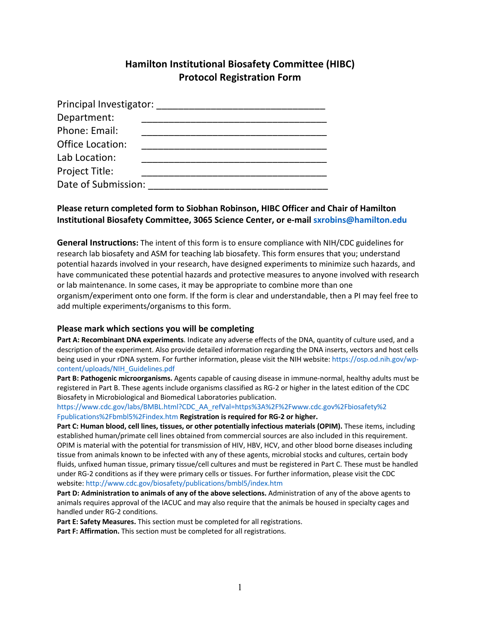# **Hamilton Institutional Biosafety Committee (HIBC) Protocol Registration Form**

| Principal Investigator: |  |
|-------------------------|--|
| Department:             |  |
| Phone: Email:           |  |
| <b>Office Location:</b> |  |
| Lab Location:           |  |
| Project Title:          |  |
| Date of Submission:     |  |

# **Please return completed form to Siobhan Robinson, HIBC Officer and Chair of Hamilton Institutional Biosafety Committee, 3065 Science Center, or e-mail sxrobins@hamilton.edu**

**General Instructions:** The intent of this form is to ensure compliance with NIH/CDC guidelines for research lab biosafety and ASM for teaching lab biosafety. This form ensures that you; understand potential hazards involved in your research, have designed experiments to minimize such hazards, and have communicated these potential hazards and protective measures to anyone involved with research or lab maintenance. In some cases, it may be appropriate to combine more than one organism/experiment onto one form. If the form is clear and understandable, then a PI may feel free to add multiple experiments/organisms to this form.

#### **Please mark which sections you will be completing**

**Part A: Recombinant DNA experiments**. Indicate any adverse effects of the DNA, quantity of culture used, and a description of the experiment. Also provide detailed information regarding the DNA inserts, vectors and host cells being used in your rDNA system. For further information, please visit the NIH website: https://osp.od.nih.gov/wpcontent/uploads/NIH\_Guidelines.pdf

**Part B: Pathogenic microorganisms.** Agents capable of causing disease in immune-normal, healthy adults must be registered in Part B. These agents include organisms classified as RG-2 or higher in the latest edition of the CDC Biosafety in Microbiological and Biomedical Laboratories publication.

https://www.cdc.gov/labs/BMBL.html?CDC\_AA\_refVal=https%3A%2F%2Fwww.cdc.gov%2Fbiosafety%2 Fpublications%2Fbmbl5%2Findex.htm **Registration is required for RG-2 or higher.** 

Part C: Human blood, cell lines, tissues, or other potentially infectious materials (OPIM). These items, including established human/primate cell lines obtained from commercial sources are also included in this requirement. OPIM is material with the potential for transmission of HIV, HBV, HCV, and other blood borne diseases including tissue from animals known to be infected with any of these agents, microbial stocks and cultures, certain body fluids, unfixed human tissue, primary tissue/cell cultures and must be registered in Part C. These must be handled under RG-2 conditions as if they were primary cells or tissues. For further information, please visit the CDC website: http://www.cdc.gov/biosafety/publications/bmbl5/index.htm

**Part D: Administration to animals of any of the above selections.** Administration of any of the above agents to animals requires approval of the IACUC and may also require that the animals be housed in specialty cages and handled under RG-2 conditions.

**Part E: Safety Measures.** This section must be completed for all registrations.

**Part F: Affirmation.** This section must be completed for all registrations.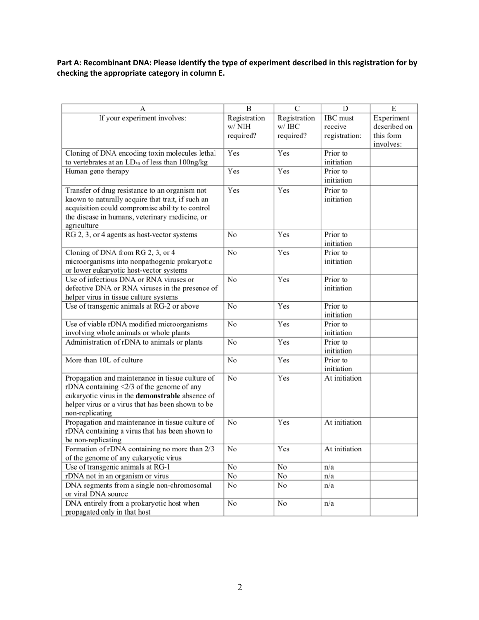# **Part A: Recombinant DNA: Please identify the type of experiment described in this registration for by checking the appropriate category in column E.**

| А                                                                 | B            | $\overline{C}$ | D             | Е            |
|-------------------------------------------------------------------|--------------|----------------|---------------|--------------|
|                                                                   |              |                |               |              |
| If your experiment involves:                                      | Registration | Registration   | IBC must      | Experiment   |
|                                                                   | w/NIH        | w/ IBC         | receive       | described on |
|                                                                   | required?    | required?      | registration: | this form    |
|                                                                   |              |                |               | involves:    |
| Cloning of DNA encoding toxin molecules lethal                    | Yes          | Yes            | Prior to      |              |
| to vertebrates at an $LD_{50}$ of less than 100ng/kg              |              |                | initiation    |              |
| Human gene therapy                                                | Yes          | Yes            | Prior to      |              |
|                                                                   |              |                | initiation    |              |
| Transfer of drug resistance to an organism not                    | Yes          | Yes            | Prior to      |              |
| known to naturally acquire that trait, if such an                 |              |                | initiation    |              |
| acquisition could compromise ability to control                   |              |                |               |              |
| the disease in humans, veterinary medicine, or                    |              |                |               |              |
| agriculture                                                       |              |                |               |              |
| RG 2, 3, or 4 agents as host-vector systems                       | No           | Yes            | Prior to      |              |
|                                                                   |              |                | initiation    |              |
| Cloning of DNA from RG 2, 3, or 4                                 | No           | Yes            | Prior to      |              |
| microorganisms into nonpathogenic prokaryotic                     |              |                | initiation    |              |
| or lower eukaryotic host-vector systems                           |              |                |               |              |
| Use of infectious DNA or RNA viruses or                           | No           | Yes            | Prior to      |              |
| defective DNA or RNA viruses in the presence of                   |              |                | initiation    |              |
| helper virus in tissue culture systems                            |              |                |               |              |
| Use of transgenic animals at RG-2 or above                        | No           | Yes            | Prior to      |              |
|                                                                   |              |                | initiation    |              |
| Use of viable rDNA modified microorganisms                        | No           | Yes            | Prior to      |              |
| involving whole animals or whole plants                           |              |                | initiation    |              |
| Administration of rDNA to animals or plants                       | No           | Yes            | Prior to      |              |
|                                                                   |              |                | initiation    |              |
| More than 10L of culture                                          | No           | Yes            | Prior to      |              |
|                                                                   |              |                | initiation    |              |
| Propagation and maintenance in tissue culture of                  | No           | Yes            | At initiation |              |
| rDNA containing $\langle 2/3 \rangle$ of the genome of any        |              |                |               |              |
| eukaryotic virus in the demonstrable absence of                   |              |                |               |              |
| helper virus or a virus that has been shown to be                 |              |                |               |              |
| non-replicating                                                   |              |                |               |              |
| Propagation and maintenance in tissue culture of                  | No           | Yes            | At initiation |              |
| rDNA containing a virus that has been shown to                    |              |                |               |              |
| be non-replicating                                                |              |                |               |              |
| Formation of rDNA containing no more than 2/3                     | No           | Yes            | At initiation |              |
| of the genome of any eukaryotic virus                             |              |                |               |              |
| Use of transgenic animals at RG-1                                 | No           | No             | n/a           |              |
| rDNA not in an organism or virus                                  | No           | No             | n/a           |              |
|                                                                   |              |                |               |              |
| DNA segments from a single non-chromosomal<br>or viral DNA source | No           | No             | n/a           |              |
|                                                                   |              |                |               |              |
| DNA entirely from a prokaryotic host when                         | No           | No             | n/a           |              |
| propagated only in that host                                      |              |                |               |              |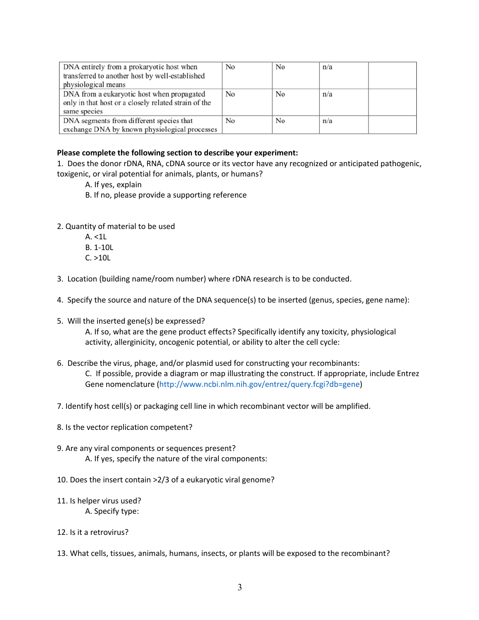| DNA entirely from a prokaryotic host when            | No | No | n/a |  |
|------------------------------------------------------|----|----|-----|--|
| transferred to another host by well-established      |    |    |     |  |
| physiological means                                  |    |    |     |  |
| DNA from a eukaryotic host when propagated           | No | No | n/a |  |
| only in that host or a closely related strain of the |    |    |     |  |
| same species                                         |    |    |     |  |
| DNA segments from different species that             | No | No | n/a |  |
| exchange DNA by known physiological processes        |    |    |     |  |

#### **Please complete the following section to describe your experiment:**

1. Does the donor rDNA, RNA, cDNA source or its vector have any recognized or anticipated pathogenic, toxigenic, or viral potential for animals, plants, or humans?

- A. If yes, explain
- B. If no, please provide a supporting reference
- 2. Quantity of material to be used
	- $A. < 1L$
	- B. 1-10L
	- C. >10L
- 3. Location (building name/room number) where rDNA research is to be conducted.
- 4. Specify the source and nature of the DNA sequence(s) to be inserted (genus, species, gene name):
- 5. Will the inserted gene(s) be expressed?

A. If so, what are the gene product effects? Specifically identify any toxicity, physiological activity, allerginicity, oncogenic potential, or ability to alter the cell cycle:

- 6. Describe the virus, phage, and/or plasmid used for constructing your recombinants: C. If possible, provide a diagram or map illustrating the construct. If appropriate, include Entrez Gene nomenclature (http://www.ncbi.nlm.nih.gov/entrez/query.fcgi?db=gene)
- 7. Identify host cell(s) or packaging cell line in which recombinant vector will be amplified.
- 8. Is the vector replication competent?
- 9. Are any viral components or sequences present? A. If yes, specify the nature of the viral components:
- 10. Does the insert contain >2/3 of a eukaryotic viral genome?
- 11. Is helper virus used? A. Specify type:
- 12. Is it a retrovirus?
- 13. What cells, tissues, animals, humans, insects, or plants will be exposed to the recombinant?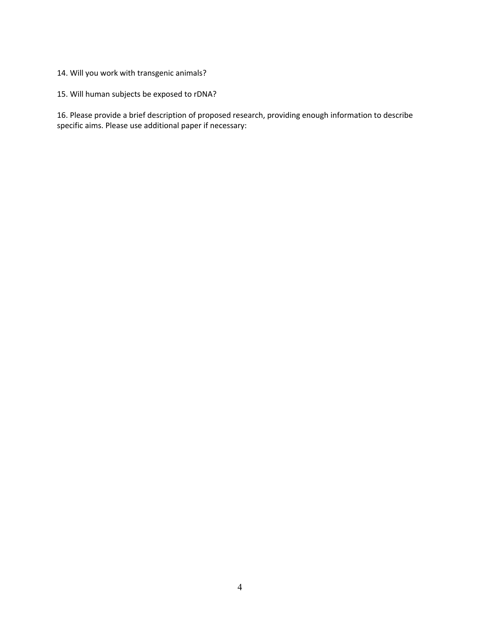### 14. Will you work with transgenic animals?

## 15. Will human subjects be exposed to rDNA?

16. Please provide a brief description of proposed research, providing enough information to describe specific aims. Please use additional paper if necessary: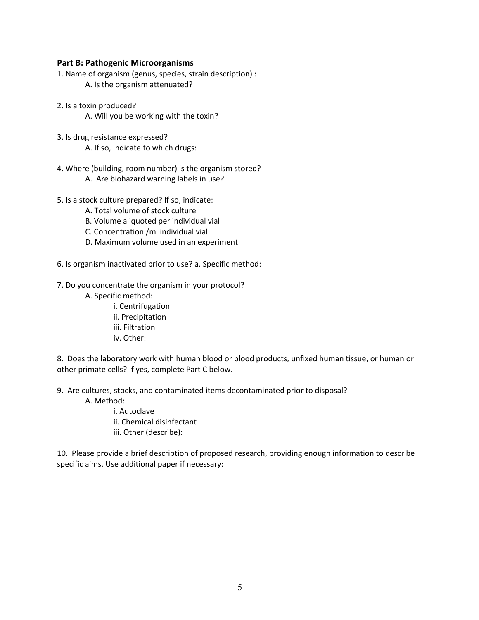#### **Part B: Pathogenic Microorganisms**

- 1. Name of organism (genus, species, strain description) : A. Is the organism attenuated?
- 2. Is a toxin produced? A. Will you be working with the toxin?
- 3. Is drug resistance expressed? A. If so, indicate to which drugs:
- 4. Where (building, room number) is the organism stored?
	- A. Are biohazard warning labels in use?
- 5. Is a stock culture prepared? If so, indicate:
	- A. Total volume of stock culture
	- B. Volume aliquoted per individual vial
	- C. Concentration /ml individual vial
	- D. Maximum volume used in an experiment
- 6. Is organism inactivated prior to use? a. Specific method:
- 7. Do you concentrate the organism in your protocol?
	- A. Specific method:
		- i. Centrifugation ii. Precipitation iii. Filtration iv. Other:

8. Does the laboratory work with human blood or blood products, unfixed human tissue, or human or other primate cells? If yes, complete Part C below.

- 9. Are cultures, stocks, and contaminated items decontaminated prior to disposal?
	- A. Method:

i. Autoclave ii. Chemical disinfectant iii. Other (describe):

10. Please provide a brief description of proposed research, providing enough information to describe specific aims. Use additional paper if necessary: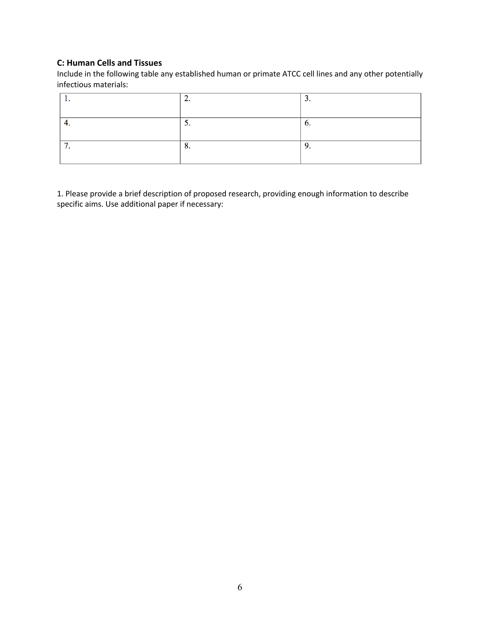### **C: Human Cells and Tissues**

Include in the following table any established human or primate ATCC cell lines and any other potentially infectious materials:

|   | <u>.</u> | <u>.</u> |
|---|----------|----------|
|   |          |          |
|   | <u>.</u> | v.       |
|   |          |          |
| - | v.       | , .      |
|   |          |          |

1. Please provide a brief description of proposed research, providing enough information to describe specific aims. Use additional paper if necessary: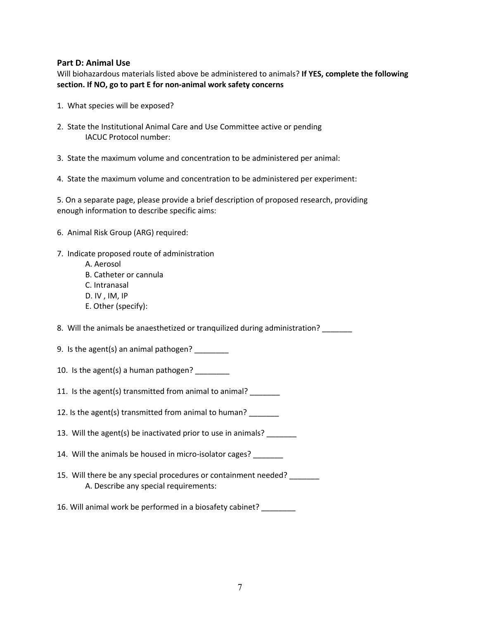#### **Part D: Animal Use**

Will biohazardous materials listed above be administered to animals? **If YES, complete the following section. If NO, go to part E for non-animal work safety concerns** 

- 1. What species will be exposed?
- 2. State the Institutional Animal Care and Use Committee active or pending IACUC Protocol number:
- 3. State the maximum volume and concentration to be administered per animal:
- 4. State the maximum volume and concentration to be administered per experiment:

5. On a separate page, please provide a brief description of proposed research, providing enough information to describe specific aims:

- 6. Animal Risk Group (ARG) required:
- 7. Indicate proposed route of administration
	- A. Aerosol
	- B. Catheter or cannula
	- C. Intranasal
	- D. IV , IM, IP
	- E. Other (specify):

8. Will the animals be anaesthetized or tranquilized during administration?

9. Is the agent(s) an animal pathogen? \_\_\_\_\_\_\_\_

- 10. Is the agent(s) a human pathogen? \_\_\_\_\_\_\_\_
- 11. Is the agent(s) transmitted from animal to animal?

12. Is the agent(s) transmitted from animal to human?

- 13. Will the agent(s) be inactivated prior to use in animals? \_\_\_\_\_\_\_
- 14. Will the animals be housed in micro-isolator cages? \_\_\_\_\_\_\_
- 15. Will there be any special procedures or containment needed? A. Describe any special requirements:
- 16. Will animal work be performed in a biosafety cabinet? \_\_\_\_\_\_\_\_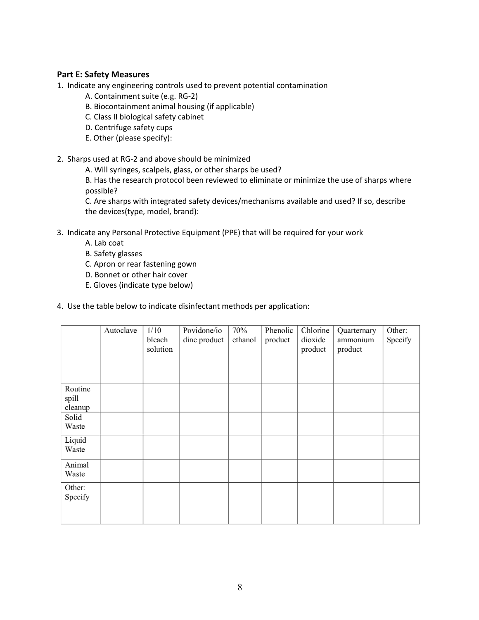### **Part E: Safety Measures**

- 1. Indicate any engineering controls used to prevent potential contamination
	- A. Containment suite (e.g. RG-2)
	- B. Biocontainment animal housing (if applicable)
	- C. Class II biological safety cabinet
	- D. Centrifuge safety cups
	- E. Other (please specify):
- 2. Sharps used at RG-2 and above should be minimized
	- A. Will syringes, scalpels, glass, or other sharps be used?

B. Has the research protocol been reviewed to eliminate or minimize the use of sharps where possible?

C. Are sharps with integrated safety devices/mechanisms available and used? If so, describe the devices(type, model, brand):

- 3. Indicate any Personal Protective Equipment (PPE) that will be required for your work
	- A. Lab coat
	- B. Safety glasses
	- C. Apron or rear fastening gown
	- D. Bonnet or other hair cover
	- E. Gloves (indicate type below)
- 4. Use the table below to indicate disinfectant methods per application:

|                             | Autoclave | 1/10<br>bleach<br>solution | Povidone/io<br>dine product | 70%<br>ethanol | Phenolic<br>product | Chlorine<br>dioxide<br>product | Quarternary<br>ammonium<br>product | Other:<br>Specify |
|-----------------------------|-----------|----------------------------|-----------------------------|----------------|---------------------|--------------------------------|------------------------------------|-------------------|
| Routine<br>spill<br>cleanup |           |                            |                             |                |                     |                                |                                    |                   |
| Solid<br>Waste              |           |                            |                             |                |                     |                                |                                    |                   |
| Liquid<br>Waste             |           |                            |                             |                |                     |                                |                                    |                   |
| Animal<br>Waste             |           |                            |                             |                |                     |                                |                                    |                   |
| Other:<br>Specify           |           |                            |                             |                |                     |                                |                                    |                   |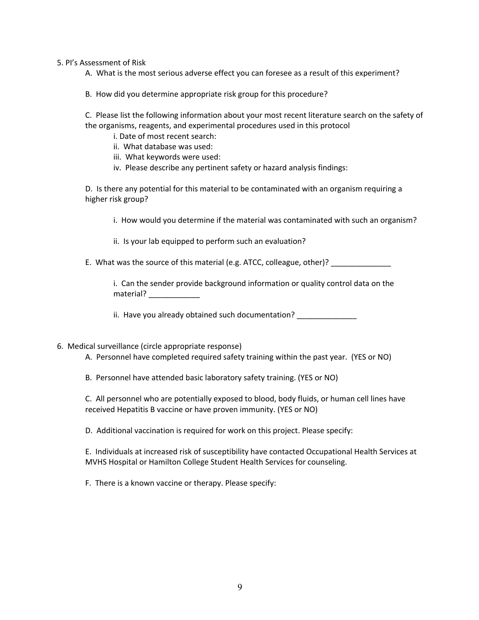5. PI's Assessment of Risk

A. What is the most serious adverse effect you can foresee as a result of this experiment?

B. How did you determine appropriate risk group for this procedure?

C. Please list the following information about your most recent literature search on the safety of the organisms, reagents, and experimental procedures used in this protocol

i. Date of most recent search:

ii. What database was used:

iii. What keywords were used:

iv. Please describe any pertinent safety or hazard analysis findings:

D. Is there any potential for this material to be contaminated with an organism requiring a higher risk group?

i. How would you determine if the material was contaminated with such an organism?

ii. Is your lab equipped to perform such an evaluation?

E. What was the source of this material (e.g. ATCC, colleague, other)? \_\_\_\_\_\_\_\_\_\_

i. Can the sender provide background information or quality control data on the material?

ii. Have you already obtained such documentation?

6. Medical surveillance (circle appropriate response)

A. Personnel have completed required safety training within the past year. (YES or NO)

B. Personnel have attended basic laboratory safety training. (YES or NO)

C. All personnel who are potentially exposed to blood, body fluids, or human cell lines have received Hepatitis B vaccine or have proven immunity. (YES or NO)

D. Additional vaccination is required for work on this project. Please specify:

E. Individuals at increased risk of susceptibility have contacted Occupational Health Services at MVHS Hospital or Hamilton College Student Health Services for counseling.

F. There is a known vaccine or therapy. Please specify: